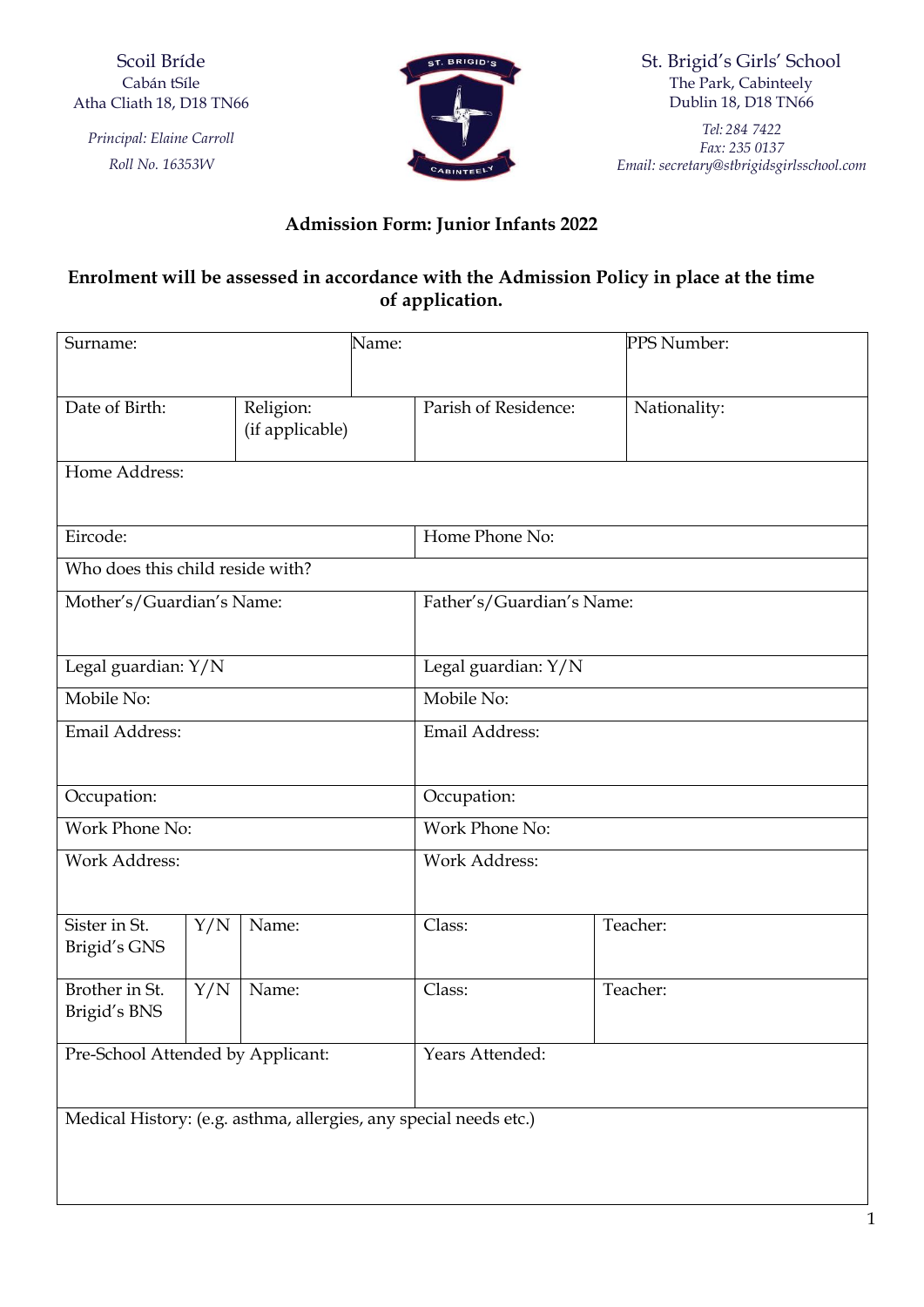Scoil Bríde Cabán tSíle Atha Cliath 18, D18 TN66

*Principal: Elaine Carroll Roll No. 16353W*



St. Brigid's Girls' School The Park, Cabinteely Dublin 18, D18 TN66

*Tel: 284 7422 Fax: 235 0137 Email: [secretary@stbrigidsgirlsschool.com](mailto:secretary@stbrigidsgirlsschool.com)*

## **Admission Form: Junior Infants 2022**

## **Enrolment will be assessed in accordance with the Admission Policy in place at the time of application.**

| Surname:                                                          |     |                              | Name:           |                           |  | PPS Number:  |  |
|-------------------------------------------------------------------|-----|------------------------------|-----------------|---------------------------|--|--------------|--|
|                                                                   |     |                              |                 |                           |  |              |  |
| Date of Birth:                                                    |     | Religion:<br>(if applicable) |                 | Parish of Residence:      |  | Nationality: |  |
| Home Address:                                                     |     |                              |                 |                           |  |              |  |
|                                                                   |     |                              |                 |                           |  |              |  |
| Eircode:                                                          |     |                              |                 | Home Phone No:            |  |              |  |
| Who does this child reside with?                                  |     |                              |                 |                           |  |              |  |
| Mother's/Guardian's Name:                                         |     |                              |                 | Father's/Guardian's Name: |  |              |  |
|                                                                   |     |                              |                 |                           |  |              |  |
| Legal guardian: Y/N                                               |     |                              |                 | Legal guardian: Y/N       |  |              |  |
| Mobile No:                                                        |     |                              |                 | Mobile No:                |  |              |  |
| Email Address:                                                    |     |                              |                 | Email Address:            |  |              |  |
|                                                                   |     |                              |                 |                           |  |              |  |
| Occupation:                                                       |     |                              |                 | Occupation:               |  |              |  |
| Work Phone No:                                                    |     |                              |                 | Work Phone No:            |  |              |  |
| <b>Work Address:</b>                                              |     |                              |                 | <b>Work Address:</b>      |  |              |  |
|                                                                   |     |                              |                 |                           |  |              |  |
| Sister in St.                                                     | Y/N | Name:                        |                 | Class:                    |  | Teacher:     |  |
| Brigid's GNS                                                      |     |                              |                 |                           |  |              |  |
| Brother in St.                                                    | Y/N | Name:                        |                 | Class:                    |  | Teacher:     |  |
| Brigid's BNS                                                      |     |                              |                 |                           |  |              |  |
| Pre-School Attended by Applicant:                                 |     |                              | Years Attended: |                           |  |              |  |
|                                                                   |     |                              |                 |                           |  |              |  |
| Medical History: (e.g. asthma, allergies, any special needs etc.) |     |                              |                 |                           |  |              |  |
|                                                                   |     |                              |                 |                           |  |              |  |
|                                                                   |     |                              |                 |                           |  |              |  |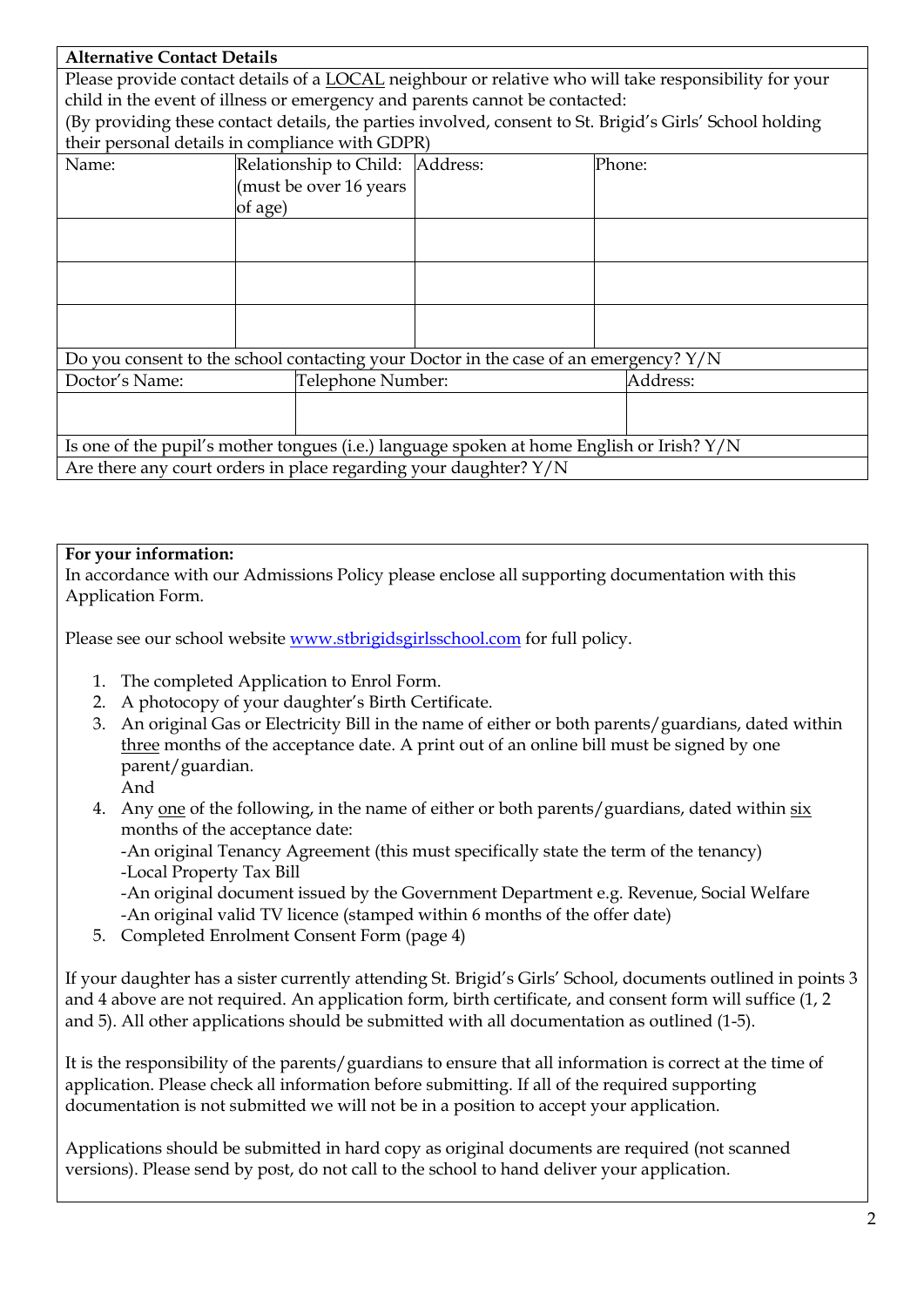| <b>Alternative Contact Details</b>                                                                       |         |                                 |  |        |          |  |
|----------------------------------------------------------------------------------------------------------|---------|---------------------------------|--|--------|----------|--|
| Please provide contact details of a LOCAL neighbour or relative who will take responsibility for your    |         |                                 |  |        |          |  |
| child in the event of illness or emergency and parents cannot be contacted:                              |         |                                 |  |        |          |  |
| (By providing these contact details, the parties involved, consent to St. Brigid's Girls' School holding |         |                                 |  |        |          |  |
| their personal details in compliance with GDPR)                                                          |         |                                 |  |        |          |  |
| Name:                                                                                                    |         | Relationship to Child: Address: |  | Phone: |          |  |
|                                                                                                          |         | (must be over 16 years          |  |        |          |  |
|                                                                                                          | of age) |                                 |  |        |          |  |
|                                                                                                          |         |                                 |  |        |          |  |
|                                                                                                          |         |                                 |  |        |          |  |
|                                                                                                          |         |                                 |  |        |          |  |
|                                                                                                          |         |                                 |  |        |          |  |
|                                                                                                          |         |                                 |  |        |          |  |
|                                                                                                          |         |                                 |  |        |          |  |
| Do you consent to the school contacting your Doctor in the case of an emergency? Y/N                     |         |                                 |  |        |          |  |
| Doctor's Name:                                                                                           |         | Telephone Number:               |  |        | Address: |  |
|                                                                                                          |         |                                 |  |        |          |  |
|                                                                                                          |         |                                 |  |        |          |  |
| Is one of the pupil's mother tongues (i.e.) language spoken at home English or Irish? Y/N                |         |                                 |  |        |          |  |
| Are there any court orders in place regarding your daughter? $Y/N$                                       |         |                                 |  |        |          |  |

### **For your information:**

In accordance with our Admissions Policy please enclose all supporting documentation with this Application Form.

Please see our school website [www.stbrigidsgirlsschool.com](http://www.stbrigidsgirlsschool.com/) for full policy.

- 1. The completed Application to Enrol Form.
- 2. A photocopy of your daughter's Birth Certificate.
- 3. An original Gas or Electricity Bill in the name of either or both parents/guardians, dated within three months of the acceptance date. A print out of an online bill must be signed by one parent/guardian.
	- And
- 4. Any one of the following, in the name of either or both parents/guardians, dated within six months of the acceptance date:

-An original Tenancy Agreement (this must specifically state the term of the tenancy) -Local Property Tax Bill

-An original document issued by the Government Department e.g. Revenue, Social Welfare -An original valid TV licence (stamped within 6 months of the offer date)

5. Completed Enrolment Consent Form (page 4)

If your daughter has a sister currently attending St. Brigid's Girls' School, documents outlined in points 3 and 4 above are not required. An application form, birth certificate, and consent form will suffice (1, 2 and 5). All other applications should be submitted with all documentation as outlined (1-5).

It is the responsibility of the parents/guardians to ensure that all information is correct at the time of application. Please check all information before submitting. If all of the required supporting documentation is not submitted we will not be in a position to accept your application.

Applications should be submitted in hard copy as original documents are required (not scanned versions). Please send by post, do not call to the school to hand deliver your application.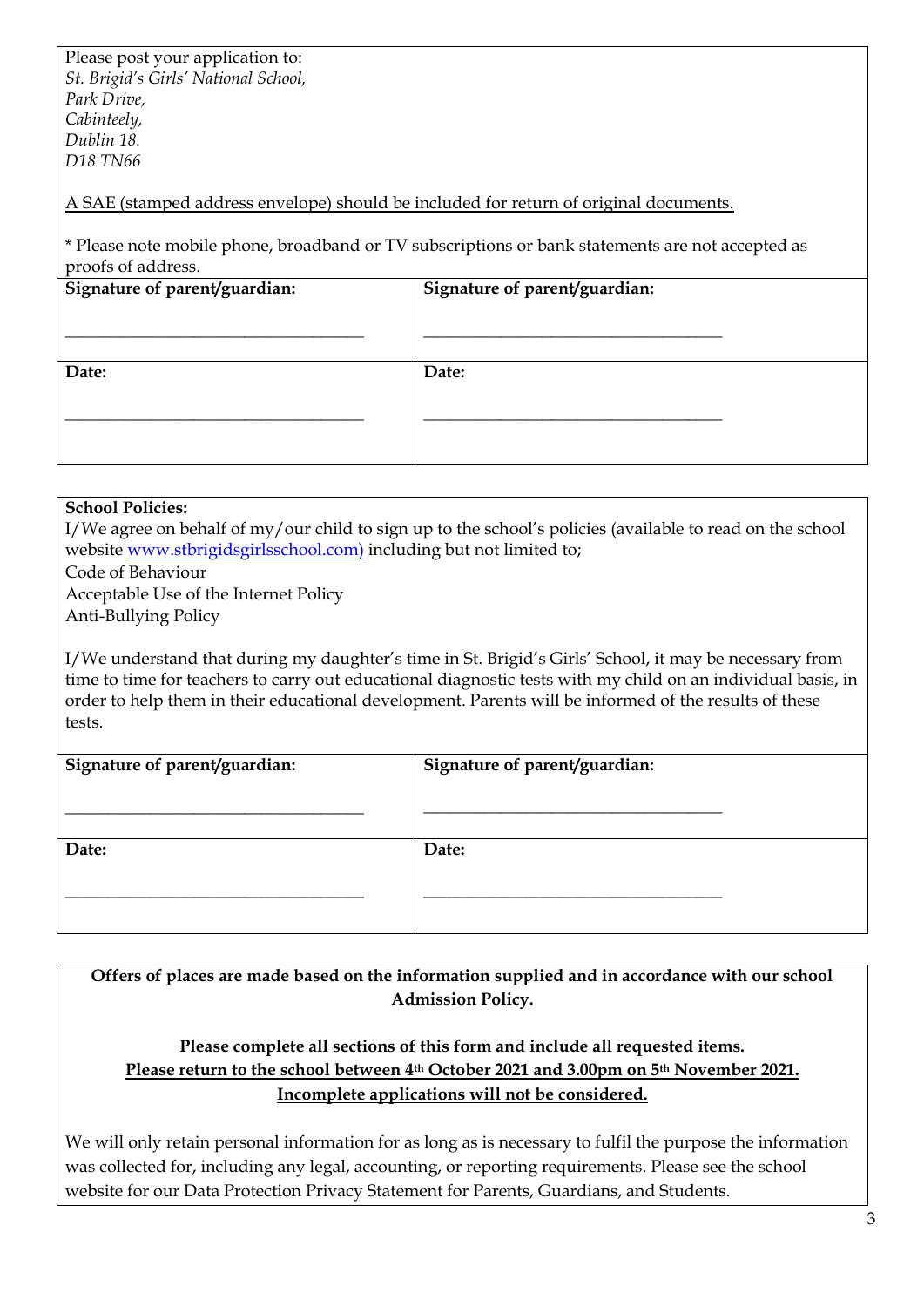Please post your application to: *St. Brigid's Girls' National School, Park Drive, Cabinteely, Dublin 18. D18 TN66*

A SAE (stamped address envelope) should be included for return of original documents.

\* Please note mobile phone, broadband or TV subscriptions or bank statements are not accepted as proofs of address.

| <b>Provide</b>                |                               |  |  |
|-------------------------------|-------------------------------|--|--|
| Signature of parent/guardian: | Signature of parent/guardian: |  |  |
|                               |                               |  |  |
|                               |                               |  |  |
| Date:                         | Date:                         |  |  |
|                               |                               |  |  |
|                               |                               |  |  |
|                               |                               |  |  |

#### **School Policies:**

I/We agree on behalf of my/our child to sign up to the school's policies (available to read on the school website [www.stbrigidsgirlsschool.com\)](http://www.stbrigidsgirlsschool.com/) including but not limited to;

Code of Behaviour

 Acceptable Use of the Internet Policy Anti-Bullying Policy

I/We understand that during my daughter's time in St. Brigid's Girls' School, it may be necessary from time to time for teachers to carry out educational diagnostic tests with my child on an individual basis, in order to help them in their educational development. Parents will be informed of the results of these tests.

| Signature of parent/guardian: | Signature of parent/guardian: |
|-------------------------------|-------------------------------|
|                               |                               |
| Date:                         | Date:                         |
|                               |                               |
|                               |                               |

**Offers of places are made based on the information supplied and in accordance with our school Admission Policy.**

## **Please complete all sections of this form and include all requested items. Please return to the school between 4th October 2021 and 3.00pm on 5th November 2021. Incomplete applications will not be considered.**

We will only retain personal information for as long as is necessary to fulfil the purpose the information was collected for, including any legal, accounting, or reporting requirements. Please see the school website for our Data Protection Privacy Statement for Parents, Guardians, and Students.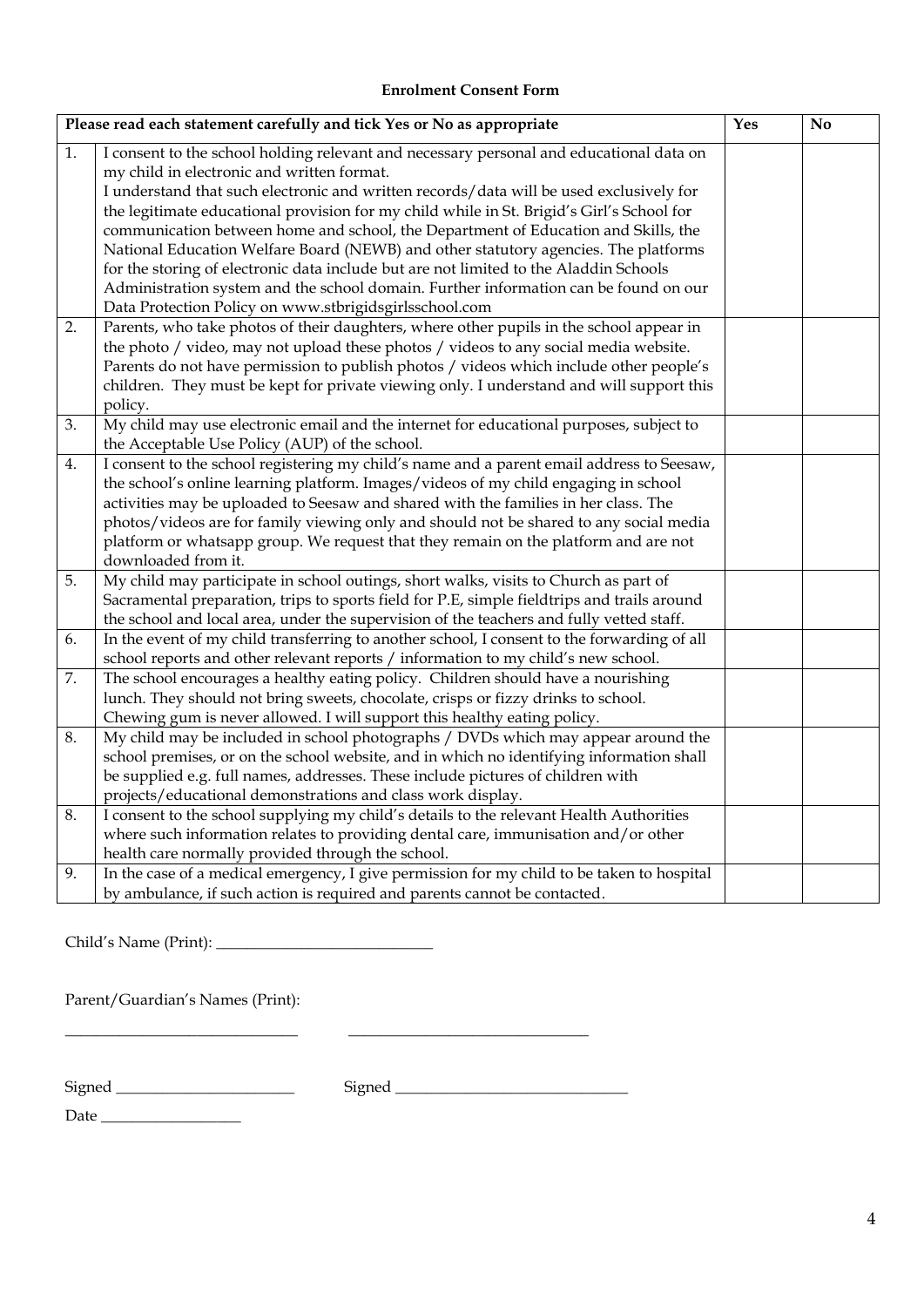#### **Enrolment Consent Form**

| Please read each statement carefully and tick Yes or No as appropriate |                                                                                                    |  | $\mathbf{N}\mathbf{o}$ |
|------------------------------------------------------------------------|----------------------------------------------------------------------------------------------------|--|------------------------|
| 1.                                                                     | I consent to the school holding relevant and necessary personal and educational data on            |  |                        |
|                                                                        | my child in electronic and written format.                                                         |  |                        |
|                                                                        | I understand that such electronic and written records/data will be used exclusively for            |  |                        |
|                                                                        | the legitimate educational provision for my child while in St. Brigid's Girl's School for          |  |                        |
|                                                                        | communication between home and school, the Department of Education and Skills, the                 |  |                        |
|                                                                        | National Education Welfare Board (NEWB) and other statutory agencies. The platforms                |  |                        |
|                                                                        | for the storing of electronic data include but are not limited to the Aladdin Schools              |  |                        |
|                                                                        | Administration system and the school domain. Further information can be found on our               |  |                        |
|                                                                        | Data Protection Policy on www.stbrigidsgirlsschool.com                                             |  |                        |
| 2.                                                                     | Parents, who take photos of their daughters, where other pupils in the school appear in            |  |                        |
|                                                                        | the photo / video, may not upload these photos / videos to any social media website.               |  |                        |
|                                                                        | Parents do not have permission to publish photos / videos which include other people's             |  |                        |
|                                                                        | children. They must be kept for private viewing only. I understand and will support this           |  |                        |
| 3.                                                                     | policy.<br>My child may use electronic email and the internet for educational purposes, subject to |  |                        |
|                                                                        | the Acceptable Use Policy (AUP) of the school.                                                     |  |                        |
| 4.                                                                     | I consent to the school registering my child's name and a parent email address to Seesaw,          |  |                        |
|                                                                        | the school's online learning platform. Images/videos of my child engaging in school                |  |                        |
|                                                                        | activities may be uploaded to Seesaw and shared with the families in her class. The                |  |                        |
|                                                                        | photos/videos are for family viewing only and should not be shared to any social media             |  |                        |
|                                                                        | platform or whatsapp group. We request that they remain on the platform and are not                |  |                        |
|                                                                        | downloaded from it.                                                                                |  |                        |
| 5.                                                                     | My child may participate in school outings, short walks, visits to Church as part of               |  |                        |
|                                                                        | Sacramental preparation, trips to sports field for P.E, simple fieldtrips and trails around        |  |                        |
|                                                                        | the school and local area, under the supervision of the teachers and fully vetted staff.           |  |                        |
| 6.                                                                     | In the event of my child transferring to another school, I consent to the forwarding of all        |  |                        |
|                                                                        | school reports and other relevant reports / information to my child's new school.                  |  |                        |
| 7.                                                                     | The school encourages a healthy eating policy. Children should have a nourishing                   |  |                        |
|                                                                        | lunch. They should not bring sweets, chocolate, crisps or fizzy drinks to school.                  |  |                        |
|                                                                        | Chewing gum is never allowed. I will support this healthy eating policy.                           |  |                        |
| 8.                                                                     | My child may be included in school photographs / DVDs which may appear around the                  |  |                        |
|                                                                        | school premises, or on the school website, and in which no identifying information shall           |  |                        |
|                                                                        | be supplied e.g. full names, addresses. These include pictures of children with                    |  |                        |
|                                                                        | projects/educational demonstrations and class work display.                                        |  |                        |
| 8.                                                                     | I consent to the school supplying my child's details to the relevant Health Authorities            |  |                        |
|                                                                        | where such information relates to providing dental care, immunisation and/or other                 |  |                        |
|                                                                        | health care normally provided through the school.                                                  |  |                        |
| 9.                                                                     | In the case of a medical emergency, I give permission for my child to be taken to hospital         |  |                        |
|                                                                        | by ambulance, if such action is required and parents cannot be contacted.                          |  |                        |

Child's Name (Print): \_\_\_\_\_\_\_\_\_\_\_\_\_\_\_\_\_\_\_\_\_\_\_\_\_\_\_\_

Parent/Guardian's Names (Print):

 $\begin{array}{cccccccccccccc} \text{Signed} & & & & & \text{Signed} & & & \end{array}$ 

\_\_\_\_\_\_\_\_\_\_\_\_\_\_\_\_\_\_\_\_\_\_\_\_\_\_\_\_\_\_ \_\_\_\_\_\_\_\_\_\_\_\_\_\_\_\_\_\_\_\_\_\_\_\_\_\_\_\_\_\_\_

Date \_\_\_\_\_\_\_\_\_\_\_\_\_\_\_\_\_\_